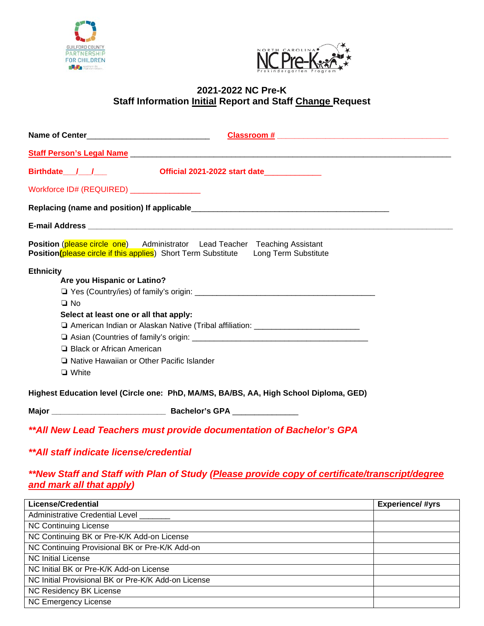



# **2021-2022 NC Pre-K Staff Information Initial Report and Staff Change Request**

| Staff Person's Legal Name entitled and the state of the state of the state of the state of the state of the state of the state of the state of the state of the state of the state of the state of the state of the state of t |  |
|--------------------------------------------------------------------------------------------------------------------------------------------------------------------------------------------------------------------------------|--|
| Birthdate / /<br>Official 2021-2022 start date                                                                                                                                                                                 |  |
| Workforce ID# (REQUIRED) ________________                                                                                                                                                                                      |  |
|                                                                                                                                                                                                                                |  |
|                                                                                                                                                                                                                                |  |
| <b>Position (please circle one)</b> Administrator Lead Teacher Teaching Assistant<br><b>Position (please circle if this applies)</b> Short Term Substitute Long Term Substitute                                                |  |
| <b>Ethnicity</b>                                                                                                                                                                                                               |  |
| Are you Hispanic or Latino?                                                                                                                                                                                                    |  |
|                                                                                                                                                                                                                                |  |
| $\Box$ No                                                                                                                                                                                                                      |  |
| Select at least one or all that apply:                                                                                                                                                                                         |  |
| □ American Indian or Alaskan Native (Tribal affiliation: _______________________                                                                                                                                               |  |
|                                                                                                                                                                                                                                |  |
| □ Black or African American                                                                                                                                                                                                    |  |
| □ Native Hawaiian or Other Pacific Islander                                                                                                                                                                                    |  |
| $\Box$ White                                                                                                                                                                                                                   |  |
| Highest Education level (Circle one: PhD, MA/MS, BA/BS, AA, High School Diploma, GED)                                                                                                                                          |  |
|                                                                                                                                                                                                                                |  |
| ** All New Lead Teachers must provide documentation of Bachelor's GPA                                                                                                                                                          |  |

### *\*\*All staff indicate license/credential*

## *\*\*New Staff and Staff with Plan of Study (Please provide copy of certificate/transcript/degree and mark all that apply)*

| <b>License/Credential</b>                           | <b>Experience/#yrs</b> |
|-----------------------------------------------------|------------------------|
| <b>Administrative Credential Level</b>              |                        |
| <b>NC Continuing License</b>                        |                        |
| NC Continuing BK or Pre-K/K Add-on License          |                        |
| NC Continuing Provisional BK or Pre-K/K Add-on      |                        |
| <b>NC Initial License</b>                           |                        |
| NC Initial BK or Pre-K/K Add-on License             |                        |
| NC Initial Provisional BK or Pre-K/K Add-on License |                        |
| NC Residency BK License                             |                        |
| NC Emergency License                                |                        |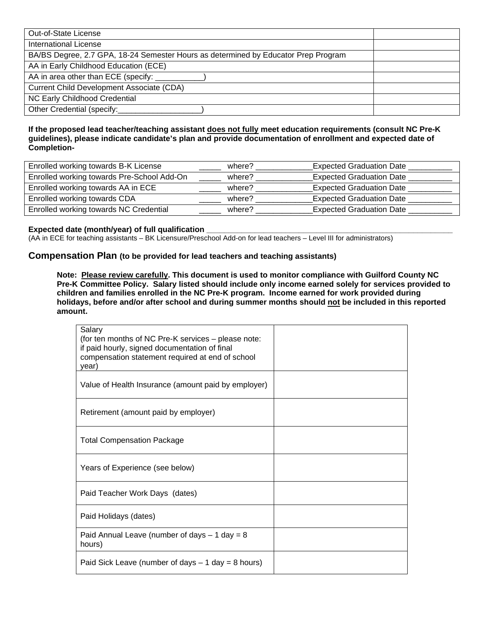| Out-of-State License                                                               |  |
|------------------------------------------------------------------------------------|--|
| <b>International License</b>                                                       |  |
| BA/BS Degree, 2.7 GPA, 18-24 Semester Hours as determined by Educator Prep Program |  |
| AA in Early Childhood Education (ECE)                                              |  |
| AA in area other than ECE (specify: _                                              |  |
| Current Child Development Associate (CDA)                                          |  |
| NC Early Childhood Credential                                                      |  |
| Other Credential (specify:                                                         |  |

#### **If the proposed lead teacher/teaching assistant does not fully meet education requirements (consult NC Pre-K guidelines), please indicate candidate's plan and provide documentation of enrollment and expected date of Completion-**

| Enrolled working towards B-K License       | where? | <b>Expected Graduation Date</b> |
|--------------------------------------------|--------|---------------------------------|
| Enrolled working towards Pre-School Add-On | where? | <b>Expected Graduation Date</b> |
| Enrolled working towards AA in ECE         | where? | <b>Expected Graduation Date</b> |
| Enrolled working towards CDA               | where? | <b>Expected Graduation Date</b> |
| Enrolled working towards NC Credential     | where? | <b>Expected Graduation Date</b> |

#### **Expected date (month/year) of full qualification**

(AA in ECE for teaching assistants – BK Licensure/Preschool Add-on for lead teachers – Level III for administrators)

#### **Compensation Plan (to be provided for lead teachers and teaching assistants)**

**Note: Please review carefully. This document is used to monitor compliance with Guilford County NC Pre-K Committee Policy. Salary listed should include only income earned solely for services provided to children and families enrolled in the NC Pre-K program. Income earned for work provided during holidays, before and/or after school and during summer months should not be included in this reported amount.** 

| Salary<br>(for ten months of NC Pre-K services - please note:<br>if paid hourly, signed documentation of final<br>compensation statement required at end of school<br>year) |  |
|-----------------------------------------------------------------------------------------------------------------------------------------------------------------------------|--|
| Value of Health Insurance (amount paid by employer)                                                                                                                         |  |
| Retirement (amount paid by employer)                                                                                                                                        |  |
| <b>Total Compensation Package</b>                                                                                                                                           |  |
| Years of Experience (see below)                                                                                                                                             |  |
| Paid Teacher Work Days (dates)                                                                                                                                              |  |
| Paid Holidays (dates)                                                                                                                                                       |  |
| Paid Annual Leave (number of days $-1$ day = 8<br>hours)                                                                                                                    |  |
| Paid Sick Leave (number of days $-1$ day = 8 hours)                                                                                                                         |  |